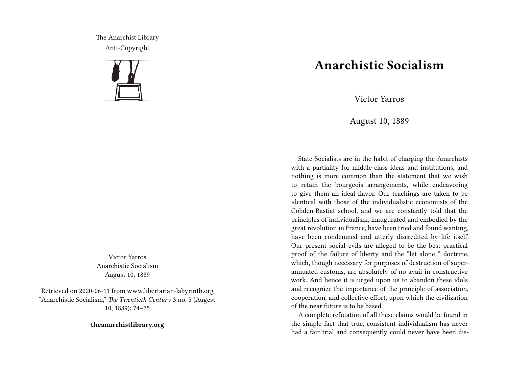The Anarchist Library Anti-Copyright



Victor Yarros Anarchistic Socialism August 10, 1889

Retrieved on 2020-06-11 from www.libertarian-labyrinth.org "Anarchistic Socialism," *The Twentieth Century* 3 no. 5 (Augest 10, 1889): 74–75

**theanarchistlibrary.org**

## **Anarchistic Socialism**

Victor Yarros

August 10, 1889

State Socialists are in the habit of charging the Anarchists with a partiality for middle-class ideas and institutions, and nothing is more common than the statement that we wish to retain the bourgeois arrangements, while endeavoring to give them an ideal flavor. Our teachings are taken to be identical with those of the individualistic economists of the Cobden-Bastiat school, and we are constantly told that the principles of individualism, inaugurated and embodied by the great revolution in France, have been tried and found wanting, have been condemned and utterly discredited by life itself. Our present social evils are alleged to be the best practical proof of the failure of liberty and the "let alone " doctrine, which, though necessary for purposes of destruction of superannuated customs, are absolutely of no avail in constructive work. And hence it is urged upon us to abandon these idols and recognize the importance of the principle of association, cooperation, and collective effort, upon which the civilization of the near future is to be based.

A complete refutation of all these claims would be found in the simple fact that true, consistent individualism has never had a fair trial and consequently could never have been dis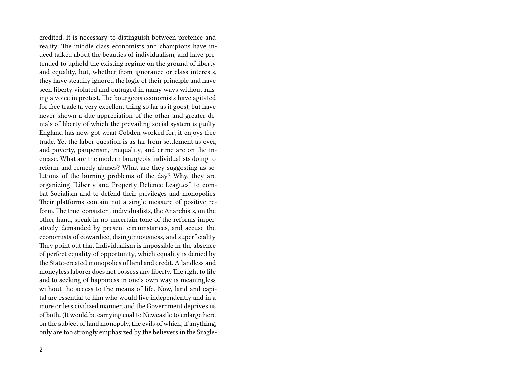credited. It is necessary to distinguish between pretence and reality. The middle class economists and champions have indeed talked about the beauties of individualism, and have pretended to uphold the existing regime on the ground of liberty and equality, but, whether from ignorance or class interests, they have steadily ignored the logic of their principle and have seen liberty violated and outraged in many ways without raising a voice in protest. The bourgeois economists have agitated for free trade (a very excellent thing so far as it goes), but have never shown a due appreciation of the other and greater denials of liberty of which the prevailing social system is guilty. England has now got what Cobden worked for; it enjoys free trade. Yet the labor question is as far from settlement as ever, and poverty, pauperism, inequality, and crime are on the increase. What are the modern bourgeois individualists doing to reform and remedy abuses? What are they suggesting as solutions of the burning problems of the day? Why, they are organizing "Liberty and Property Defence Leagues" to combat Socialism and to defend their privileges and monopolies. Their platforms contain not a single measure of positive reform. The true, consistent individualists, the Anarchists, on the other hand, speak in no uncertain tone of the reforms imperatively demanded by present circumstances, and accuse the economists of cowardice, disingenuousness, and superficiality. They point out that Individualism is impossible in the absence of perfect equality of opportunity, which equality is denied by the State-created monopolies of land and credit. A landless and moneyless laborer does not possess any liberty. The right to life and to seeking of happiness in one's own way is meaningless without the access to the means of life. Now, land and capital are essential to him who would live independently and in a more or less civilized manner, and the Government deprives us of both. (It would be carrying coal to Newcastle to enlarge here on the subject of land monopoly, the evils of which, if anything, only are too strongly emphasized by the believers in the Single-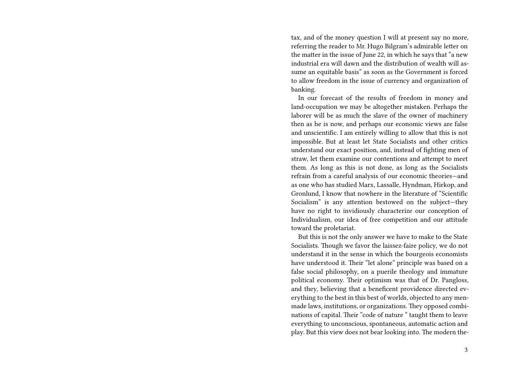tax, and of the money question I will at present say no more, referring the reader to Mr. Hugo Bilgram's admirable letter on the matter in the issue of June 22, in which he says that "a new industrial era will dawn and the distribution of wealth will assume an equitable basis" as soon as the Government is forced to allow freedom in the issue of currency and organization of banking.

In our forecast of the results of freedom in money and land-occupation we may be altogether mistaken. Perhaps the laborer will be as much the slave of the owner of machinery then as he is now, and perhaps our economic views are false and unscientific. I am entirely willing to allow that this is not impossible. But at least let State Socialists and other critics understand our exact position, and, instead of fighting men of straw, let them examine our contentions and attempt to meet them. As long as this is not done, as long as the Socialists refrain from a careful analysis of our economic theories—and as one who has studied Marx, Lassalle, Hyndman, Hirkop, and Gronlund, I know that nowhere in the literature of "Scientific Socialism" is any attention bestowed on the subject—they have no right to invidiously characterize our conception of Individualism, our idea of free competition and our attitude toward the proletariat.

But this is not the only answer we have to make to the State Socialists. Though we favor the laissez-faire policy, we do not understand it in the sense in which the bourgeois economists have understood it. Their "let alone" principle was based on a false social philosophy, on a puerile theology and immature political economy. Their optimism was that of Dr. Pangloss, and they, believing that a beneficent providence directed everything to the best in this best of worlds, objected to any menmade laws, institutions, or organizations. They opposed combinations of capital. Their "code of nature " taught them to leave everything to unconscious, spontaneous, automatic action and play. But this view does not bear looking into. The modern the